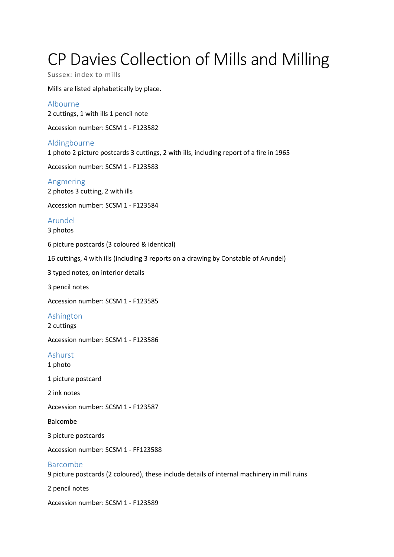# CP Davies Collection of Mills and Milling

Sussex: index to mills

Mills are listed alphabetically by place.

Albourne 2 cuttings, 1 with ills 1 pencil note

Accession number: SCSM 1 - F123582

Aldingbourne 1 photo 2 picture postcards 3 cuttings, 2 with ills, including report of a fire in 1965

Accession number: SCSM 1 - F123583

Angmering 2 photos 3 cutting, 2 with ills

Accession number: SCSM 1 - F123584

## Arundel

3 photos

6 picture postcards (3 coloured & identical)

16 cuttings, 4 with ills (including 3 reports on a drawing by Constable of Arundel)

3 typed notes, on interior details

3 pencil notes

Accession number: SCSM 1 - F123585

## Ashington

2 cuttings

Accession number: SCSM 1 - F123586

#### Ashurst

- 1 photo
- 1 picture postcard

2 ink notes

Accession number: SCSM 1 - F123587

Balcombe

3 picture postcards

Accession number: SCSM 1 - FF123588

#### Barcombe

9 picture postcards (2 coloured), these include details of internal machinery in mill ruins

2 pencil notes

Accession number: SCSM 1 - F123589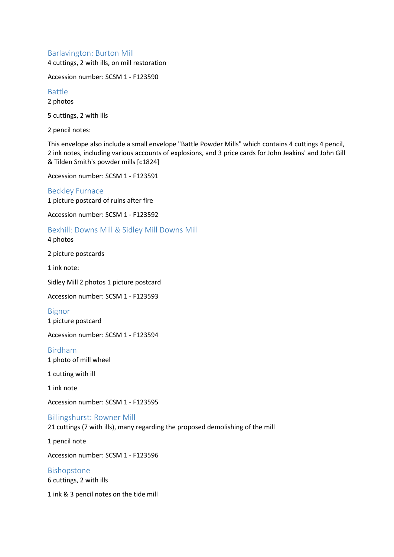## Barlavington: Burton Mill

4 cuttings, 2 with ills, on mill restoration

Accession number: SCSM 1 - F123590

#### Battle

2 photos

5 cuttings, 2 with ills

2 pencil notes:

This envelope also include a small envelope "Battle Powder Mills" which contains 4 cuttings 4 pencil, 2 ink notes, including various accounts of explosions, and 3 price cards for John Jeakins' and John Gill & Tilden Smith's powder mills [c1824]

Accession number: SCSM 1 - F123591

Beckley Furnace 1 picture postcard of ruins after fire

Accession number: SCSM 1 - F123592

## Bexhill: Downs Mill & Sidley Mill Downs Mill

4 photos

2 picture postcards

1 ink note:

Sidley Mill 2 photos 1 picture postcard

Accession number: SCSM 1 - F123593

Bignor

1 picture postcard

Accession number: SCSM 1 - F123594

Birdham

1 photo of mill wheel

1 cutting with ill

1 ink note

Accession number: SCSM 1 - F123595

Billingshurst: Rowner Mill 21 cuttings (7 with ills), many regarding the proposed demolishing of the mill

1 pencil note

Accession number: SCSM 1 - F123596

Bishopstone 6 cuttings, 2 with ills

1 ink & 3 pencil notes on the tide mill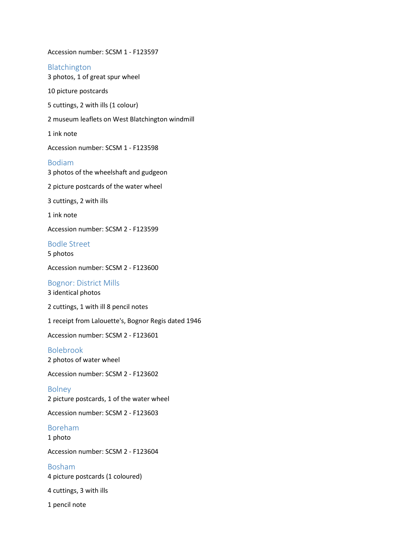Accession number: SCSM 1 - F123597 Blatchington 3 photos, 1 of great spur wheel 10 picture postcards 5 cuttings, 2 with ills (1 colour) 2 museum leaflets on West Blatchington windmill 1 ink note Accession number: SCSM 1 - F123598 Bodiam 3 photos of the wheelshaft and gudgeon 2 picture postcards of the water wheel 3 cuttings, 2 with ills 1 ink note Accession number: SCSM 2 - F123599 Bodle Street 5 photos Accession number: SCSM 2 - F123600 Bognor: District Mills 3 identical photos 2 cuttings, 1 with ill 8 pencil notes 1 receipt from Lalouette's, Bognor Regis dated 1946 Accession number: SCSM 2 - F123601 Bolebrook 2 photos of water wheel Accession number: SCSM 2 - F123602

Bolney 2 picture postcards, 1 of the water wheel

Accession number: SCSM 2 - F123603

# Boreham

1 photo

Accession number: SCSM 2 - F123604

Bosham 4 picture postcards (1 coloured)

4 cuttings, 3 with ills

1 pencil note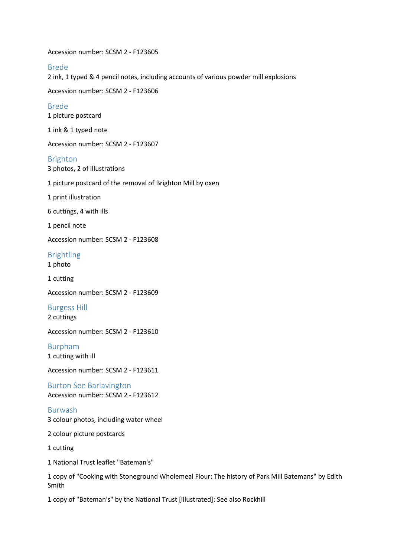Accession number: SCSM 2 - F123605

#### Brede

2 ink, 1 typed & 4 pencil notes, including accounts of various powder mill explosions

Accession number: SCSM 2 - F123606

#### Brede

1 picture postcard

1 ink & 1 typed note

Accession number: SCSM 2 - F123607

#### Brighton

3 photos, 2 of illustrations

1 picture postcard of the removal of Brighton Mill by oxen

1 print illustration

6 cuttings, 4 with ills

1 pencil note

Accession number: SCSM 2 - F123608

Brightling

1 photo

1 cutting

Accession number: SCSM 2 - F123609

Burgess Hill 2 cuttings

Accession number: SCSM 2 - F123610

Burpham 1 cutting with ill

Accession number: SCSM 2 - F123611

Burton See Barlavington Accession number: SCSM 2 - F123612

Burwash 3 colour photos, including water wheel

2 colour picture postcards

1 cutting

1 National Trust leaflet "Bateman's"

1 copy of "Cooking with Stoneground Wholemeal Flour: The history of Park Mill Batemans" by Edith Smith

1 copy of "Bateman's" by the National Trust [illustrated]: See also Rockhill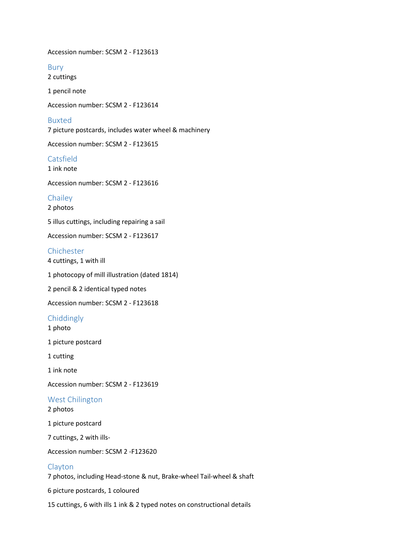Accession number: SCSM 2 - F123613

Bury 2 cuttings

1 pencil note

Accession number: SCSM 2 - F123614

#### Buxted

7 picture postcards, includes water wheel & machinery

Accession number: SCSM 2 - F123615

Catsfield

1 ink note

Accession number: SCSM 2 - F123616

#### **Chailey**

2 photos

5 illus cuttings, including repairing a sail

Accession number: SCSM 2 - F123617

## Chichester

4 cuttings, 1 with ill

1 photocopy of mill illustration (dated 1814)

2 pencil & 2 identical typed notes

Accession number: SCSM 2 - F123618

## Chiddingly

1 photo

1 picture postcard

1 cutting

1 ink note

Accession number: SCSM 2 - F123619

#### West Chilington

2 photos

1 picture postcard

7 cuttings, 2 with ills-

Accession number: SCSM 2 -F123620

#### Clayton

7 photos, including Head-stone & nut, Brake-wheel Tail-wheel & shaft

6 picture postcards, 1 coloured

15 cuttings, 6 with ills 1 ink & 2 typed notes on constructional details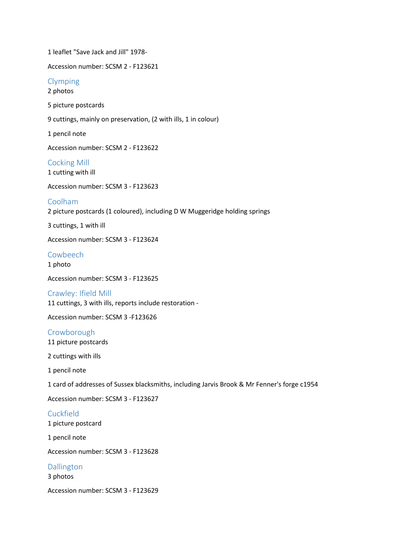1 leaflet "Save Jack and Jill" 1978- Accession number: SCSM 2 - F123621 Clymping 2 photos 5 picture postcards 9 cuttings, mainly on preservation, (2 with ills, 1 in colour) 1 pencil note Accession number: SCSM 2 - F123622 Cocking Mill 1 cutting with ill Accession number: SCSM 3 - F123623 Coolham 2 picture postcards (1 coloured), including D W Muggeridge holding springs 3 cuttings, 1 with ill Accession number: SCSM 3 - F123624 Cowbeech 1 photo Accession number: SCSM 3 - F123625 Crawley: Ifield Mill 11 cuttings, 3 with ills, reports include restoration - Accession number: SCSM 3 -F123626 Crowborough 11 picture postcards 2 cuttings with ills 1 pencil note 1 card of addresses of Sussex blacksmiths, including Jarvis Brook & Mr Fenner's forge c1954 Accession number: SCSM 3 - F123627 **Cuckfield** 1 picture postcard 1 pencil note Accession number: SCSM 3 - F123628 Dallington 3 photos Accession number: SCSM 3 - F123629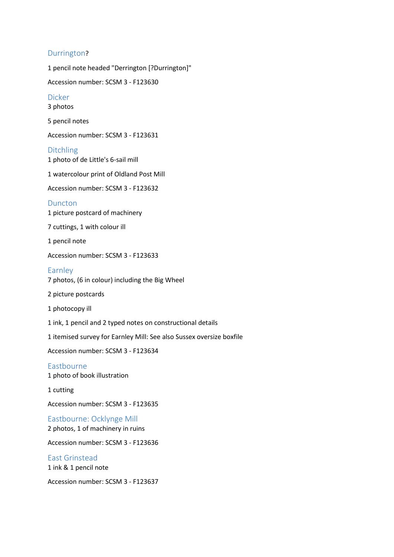## Durrington?

1 pencil note headed "Derrington [?Durrington]" Accession number: SCSM 3 - F123630 Dicker 3 photos 5 pencil notes Accession number: SCSM 3 - F123631 Ditchling 1 photo of de Little's 6-sail mill 1 watercolour print of Oldland Post Mill Accession number: SCSM 3 - F123632 Duncton 1 picture postcard of machinery 7 cuttings, 1 with colour ill 1 pencil note Accession number: SCSM 3 - F123633 Earnley 7 photos, (6 in colour) including the Big Wheel 2 picture postcards 1 photocopy ill 1 ink, 1 pencil and 2 typed notes on constructional details 1 itemised survey for Earnley Mill: See also Sussex oversize boxfile Accession number: SCSM 3 - F123634 Eastbourne 1 photo of book illustration 1 cutting Accession number: SCSM 3 - F123635 Eastbourne: Ocklynge Mill 2 photos, 1 of machinery in ruins Accession number: SCSM 3 - F123636 East Grinstead 1 ink & 1 pencil note

Accession number: SCSM 3 - F123637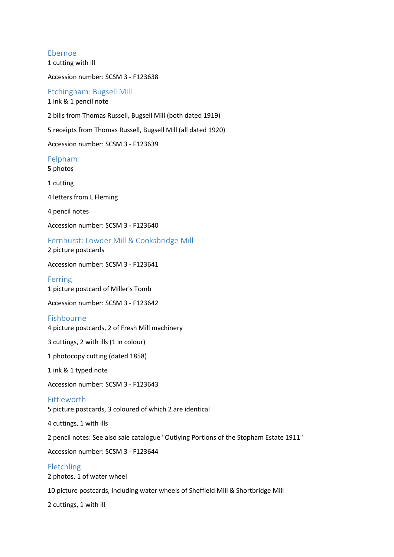Ebernoe 1 cutting with ill

Accession number: SCSM 3 - F123638

Etchingham: Bugsell Mill 1 ink & 1 pencil note

2 bills from Thomas Russell, Bugsell Mill (both dated 1919)

5 receipts from Thomas Russell, Bugsell Mill (all dated 1920)

Accession number: SCSM 3 - F123639

#### Felpham

5 photos

1 cutting

4 letters from L Fleming

4 pencil notes

Accession number: SCSM 3 - F123640

Fernhurst: Lowder Mill & Cooksbridge Mill

2 picture postcards

Accession number: SCSM 3 - F123641

Ferring

1 picture postcard of Miller's Tomb

Accession number: SCSM 3 - F123642

#### Fishbourne

4 picture postcards, 2 of Fresh Mill machinery

3 cuttings, 2 with ills (1 in colour)

1 photocopy cutting (dated 1858)

1 ink & 1 typed note

Accession number: SCSM 3 - F123643

#### Fittleworth

5 picture postcards, 3 coloured of which 2 are identical

4 cuttings, 1 with ills

2 pencil notes: See also sale catalogue "Outlying Portions of the Stopham Estate 1911"

Accession number: SCSM 3 - F123644

## Fletchling

2 photos, 1 of water wheel

10 picture postcards, including water wheels of Sheffield Mill & Shortbridge Mill

2 cuttings, 1 with ill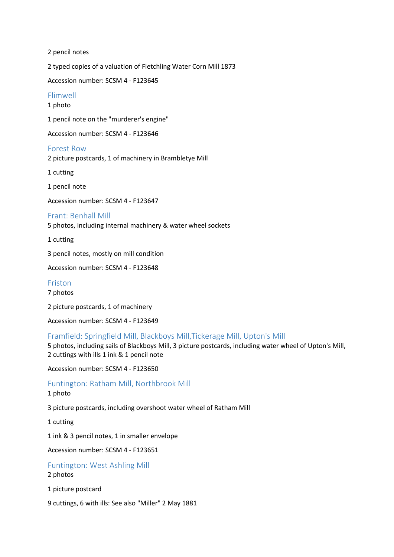2 pencil notes

2 typed copies of a valuation of Fletchling Water Corn Mill 1873

Accession number: SCSM 4 - F123645

## Flimwell

1 photo

1 pencil note on the "murderer's engine"

Accession number: SCSM 4 - F123646

#### Forest Row

2 picture postcards, 1 of machinery in Brambletye Mill

1 cutting

1 pencil note

Accession number: SCSM 4 - F123647

#### Frant: Benhall Mill

5 photos, including internal machinery & water wheel sockets

1 cutting

3 pencil notes, mostly on mill condition

Accession number: SCSM 4 - F123648

Friston

7 photos

2 picture postcards, 1 of machinery

Accession number: SCSM 4 - F123649

#### Framfield: Springfield Mill, Blackboys Mill,Tickerage Mill, Upton's Mill

5 photos, including sails of Blackboys Mill, 3 picture postcards, including water wheel of Upton's Mill, 2 cuttings with ills 1 ink & 1 pencil note

Accession number: SCSM 4 - F123650

#### Funtington: Ratham Mill, Northbrook Mill

#### 1 photo

3 picture postcards, including overshoot water wheel of Ratham Mill

1 cutting

1 ink & 3 pencil notes, 1 in smaller envelope

Accession number: SCSM 4 - F123651

#### Funtington: West Ashling Mill

#### 2 photos

1 picture postcard

9 cuttings, 6 with ills: See also "Miller" 2 May 1881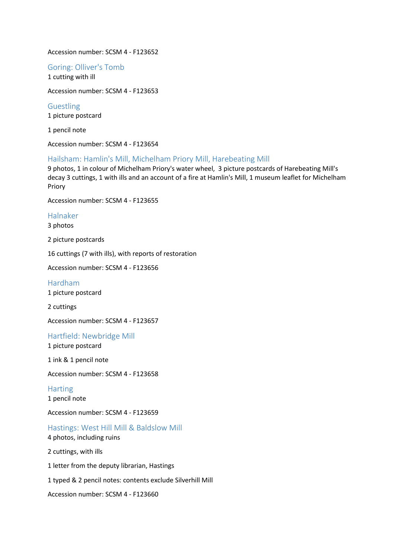#### Accession number: SCSM 4 - F123652

Goring: Olliver's Tomb 1 cutting with ill

Accession number: SCSM 4 - F123653

Guestling 1 picture postcard

1 pencil note

Accession number: SCSM 4 - F123654

#### Hailsham: Hamlin's Mill, Michelham Priory Mill, Harebeating Mill

9 photos, 1 in colour of Michelham Priory's water wheel, 3 picture postcards of Harebeating Mill's decay 3 cuttings, 1 with ills and an account of a fire at Hamlin's Mill, 1 museum leaflet for Michelham Priory

Accession number: SCSM 4 - F123655

#### Halnaker

3 photos

2 picture postcards

16 cuttings (7 with ills), with reports of restoration

Accession number: SCSM 4 - F123656

Hardham 1 picture postcard

2 cuttings

Accession number: SCSM 4 - F123657

Hartfield: Newbridge Mill

1 picture postcard

1 ink & 1 pencil note

Accession number: SCSM 4 - F123658

**Harting** 1 pencil note

Accession number: SCSM 4 - F123659

Hastings: West Hill Mill & Baldslow Mill 4 photos, including ruins

2 cuttings, with ills

1 letter from the deputy librarian, Hastings

1 typed & 2 pencil notes: contents exclude Silverhill Mill

Accession number: SCSM 4 - F123660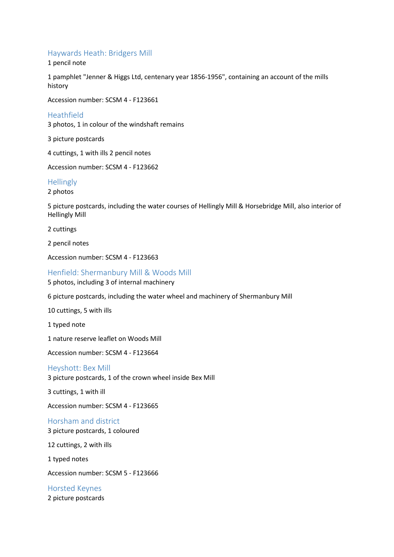## Haywards Heath: Bridgers Mill

1 pencil note

1 pamphlet "Jenner & Higgs Ltd, centenary year 1856-1956", containing an account of the mills history

Accession number: SCSM 4 - F123661

#### Heathfield

3 photos, 1 in colour of the windshaft remains

3 picture postcards

4 cuttings, 1 with ills 2 pencil notes

Accession number: SCSM 4 - F123662

#### **Hellingly**

2 photos

5 picture postcards, including the water courses of Hellingly Mill & Horsebridge Mill, also interior of Hellingly Mill

2 cuttings

2 pencil notes

Accession number: SCSM 4 - F123663

#### Henfield: Shermanbury Mill & Woods Mill

5 photos, including 3 of internal machinery

6 picture postcards, including the water wheel and machinery of Shermanbury Mill

10 cuttings, 5 with ills

1 typed note

1 nature reserve leaflet on Woods Mill

Accession number: SCSM 4 - F123664

#### Heyshott: Bex Mill

3 picture postcards, 1 of the crown wheel inside Bex Mill

3 cuttings, 1 with ill

Accession number: SCSM 4 - F123665

## Horsham and district

3 picture postcards, 1 coloured

12 cuttings, 2 with ills

1 typed notes

Accession number: SCSM 5 - F123666

Horsted Keynes 2 picture postcards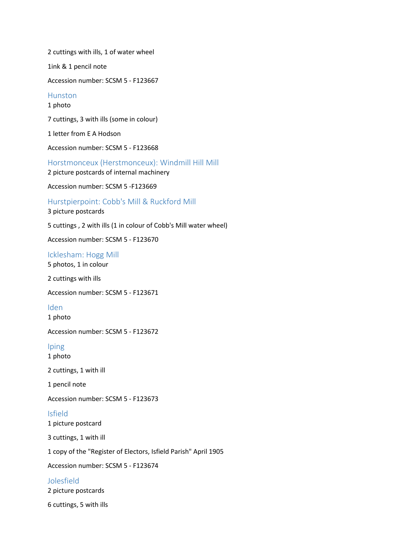2 cuttings with ills, 1 of water wheel 1ink & 1 pencil note Accession number: SCSM 5 - F123667 Hunston 1 photo 7 cuttings, 3 with ills (some in colour) 1 letter from E A Hodson Accession number: SCSM 5 - F123668 Horstmonceux (Herstmonceux): Windmill Hill Mill 2 picture postcards of internal machinery Accession number: SCSM 5 -F123669 Hurstpierpoint: Cobb's Mill & Ruckford Mill 3 picture postcards 5 cuttings , 2 with ills (1 in colour of Cobb's Mill water wheel) Accession number: SCSM 5 - F123670 Icklesham: Hogg Mill 5 photos, 1 in colour

2 cuttings with ills

Accession number: SCSM 5 - F123671

Iden

1 photo

Accession number: SCSM 5 - F123672

Iping 1 photo

2 cuttings, 1 with ill

1 pencil note

Accession number: SCSM 5 - F123673

Isfield 1 picture postcard

3 cuttings, 1 with ill

1 copy of the "Register of Electors, Isfield Parish" April 1905

Accession number: SCSM 5 - F123674

Jolesfield

2 picture postcards

6 cuttings, 5 with ills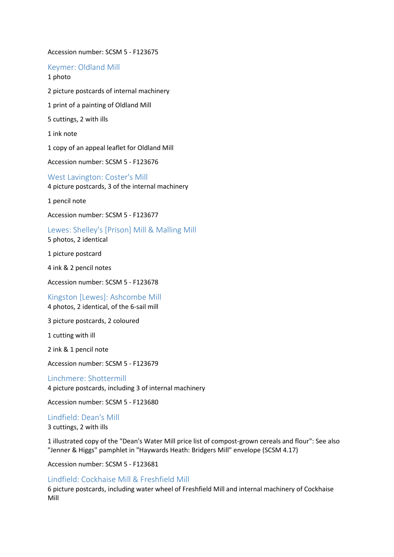Accession number: SCSM 5 - F123675

Keymer: Oldland Mill 1 photo

2 picture postcards of internal machinery 1 print of a painting of Oldland Mill 5 cuttings, 2 with ills 1 ink note 1 copy of an appeal leaflet for Oldland Mill Accession number: SCSM 5 - F123676 West Lavington: Coster's Mill

4 picture postcards, 3 of the internal machinery

1 pencil note

Accession number: SCSM 5 - F123677

Lewes: Shelley's [Prison] Mill & Malling Mill 5 photos, 2 identical

1 picture postcard

4 ink & 2 pencil notes

Accession number: SCSM 5 - F123678

Kingston [Lewes]: Ashcombe Mill 4 photos, 2 identical, of the 6-sail mill

3 picture postcards, 2 coloured

1 cutting with ill

2 ink & 1 pencil note

Accession number: SCSM 5 - F123679

Linchmere: Shottermill 4 picture postcards, including 3 of internal machinery

Accession number: SCSM 5 - F123680

Lindfield: Dean's Mill

3 cuttings, 2 with ills

1 illustrated copy of the "Dean's Water Mill price list of compost-grown cereals and flour": See also "Jenner & Higgs" pamphlet in "Haywards Heath: Bridgers Mill" envelope (SCSM 4.17)

Accession number: SCSM 5 - F123681

## Lindfield: Cockhaise Mill & Freshfield Mill

6 picture postcards, including water wheel of Freshfield Mill and internal machinery of Cockhaise Mill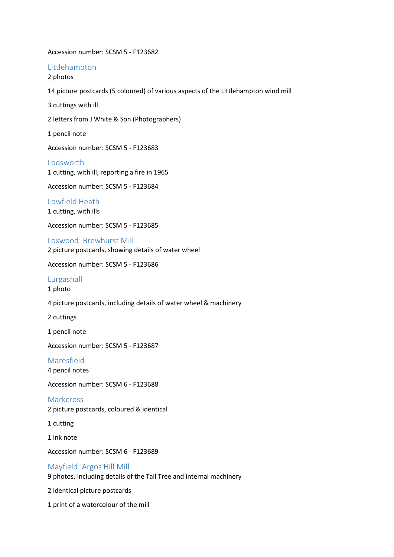Accession number: SCSM 5 - F123682

Littlehampton

2 photos

14 picture postcards (5 coloured) of various aspects of the Littlehampton wind mill

3 cuttings with ill

2 letters from J White & Son (Photographers)

1 pencil note

Accession number: SCSM 5 - F123683

Lodsworth 1 cutting, with ill, reporting a fire in 1965

Accession number: SCSM 5 - F123684

Lowfield Heath 1 cutting, with ills

Accession number: SCSM 5 - F123685

Loxwood: Brewhurst Mill 2 picture postcards, showing details of water wheel

Accession number: SCSM 5 - F123686

#### Lurgashall

1 photo

4 picture postcards, including details of water wheel & machinery

2 cuttings

1 pencil note

Accession number: SCSM 5 - F123687

## Maresfield

4 pencil notes

Accession number: SCSM 6 - F123688

**Markcross** 2 picture postcards, coloured & identical

1 cutting

1 ink note

Accession number: SCSM 6 - F123689

## Mayfield: Argos Hill Mill

9 photos, including details of the Tail Tree and internal machinery

2 identical picture postcards

1 print of a watercolour of the mill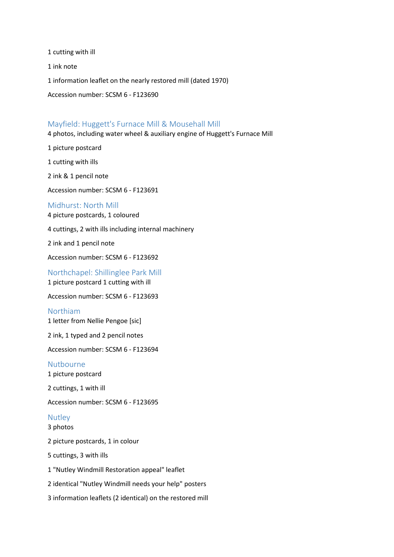1 cutting with ill

1 ink note

1 information leaflet on the nearly restored mill (dated 1970)

Accession number: SCSM 6 - F123690

## Mayfield: Huggett's Furnace Mill & Mousehall Mill

4 photos, including water wheel & auxiliary engine of Huggett's Furnace Mill

1 picture postcard

1 cutting with ills

2 ink & 1 pencil note

Accession number: SCSM 6 - F123691

#### Midhurst: North Mill

4 picture postcards, 1 coloured

4 cuttings, 2 with ills including internal machinery

2 ink and 1 pencil note

Accession number: SCSM 6 - F123692

Northchapel: Shillinglee Park Mill 1 picture postcard 1 cutting with ill

Accession number: SCSM 6 - F123693

#### Northiam

1 letter from Nellie Pengoe [sic]

2 ink, 1 typed and 2 pencil notes

Accession number: SCSM 6 - F123694

#### Nutbourne

1 picture postcard

2 cuttings, 1 with ill

Accession number: SCSM 6 - F123695

## Nutley

3 photos

2 picture postcards, 1 in colour

5 cuttings, 3 with ills

1 "Nutley Windmill Restoration appeal" leaflet

2 identical "Nutley Windmill needs your help" posters

3 information leaflets (2 identical) on the restored mill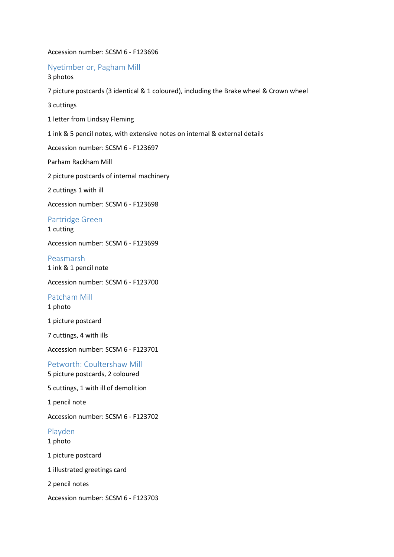#### Accession number: SCSM 6 - F123696

Nyetimber or, Pagham Mill 3 photos

7 picture postcards (3 identical & 1 coloured), including the Brake wheel & Crown wheel

3 cuttings

1 letter from Lindsay Fleming

1 ink & 5 pencil notes, with extensive notes on internal & external details

Accession number: SCSM 6 - F123697

Parham Rackham Mill

2 picture postcards of internal machinery

2 cuttings 1 with ill

Accession number: SCSM 6 - F123698

Partridge Green

1 cutting

Accession number: SCSM 6 - F123699

Peasmarsh 1 ink & 1 pencil note

Accession number: SCSM 6 - F123700

Patcham Mill 1 photo

1 picture postcard

7 cuttings, 4 with ills

Accession number: SCSM 6 - F123701

Petworth: Coultershaw Mill 5 picture postcards, 2 coloured

5 cuttings, 1 with ill of demolition

1 pencil note

Accession number: SCSM 6 - F123702

#### Playden

1 photo

1 picture postcard

1 illustrated greetings card

2 pencil notes

Accession number: SCSM 6 - F123703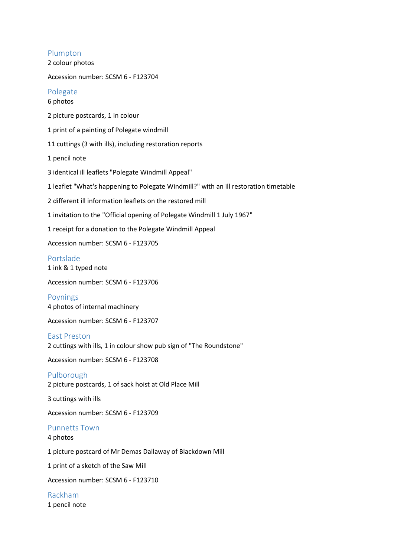## Plumpton

2 colour photos

Accession number: SCSM 6 - F123704

## Polegate

## 6 photos

2 picture postcards, 1 in colour

1 print of a painting of Polegate windmill

11 cuttings (3 with ills), including restoration reports

1 pencil note

3 identical ill leaflets "Polegate Windmill Appeal"

1 leaflet "What's happening to Polegate Windmill?" with an ill restoration timetable

2 different ill information leaflets on the restored mill

1 invitation to the "Official opening of Polegate Windmill 1 July 1967"

1 receipt for a donation to the Polegate Windmill Appeal

Accession number: SCSM 6 - F123705

#### Portslade

1 ink & 1 typed note

Accession number: SCSM 6 - F123706

Poynings 4 photos of internal machinery

Accession number: SCSM 6 - F123707

#### East Preston

2 cuttings with ills, 1 in colour show pub sign of "The Roundstone"

Accession number: SCSM 6 - F123708

Pulborough 2 picture postcards, 1 of sack hoist at Old Place Mill

3 cuttings with ills

Accession number: SCSM 6 - F123709

## Punnetts Town

4 photos

1 picture postcard of Mr Demas Dallaway of Blackdown Mill

1 print of a sketch of the Saw Mill

Accession number: SCSM 6 - F123710

Rackham 1 pencil note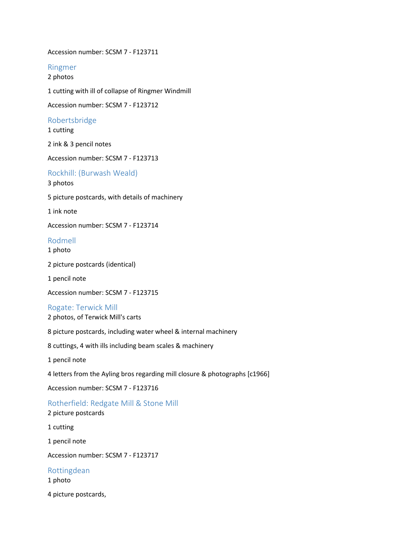Accession number: SCSM 7 - F123711

Ringmer

2 photos

1 cutting with ill of collapse of Ringmer Windmill

Accession number: SCSM 7 - F123712

Robertsbridge

1 cutting

2 ink & 3 pencil notes

Accession number: SCSM 7 - F123713

Rockhill: (Burwash Weald)

3 photos

5 picture postcards, with details of machinery

1 ink note

Accession number: SCSM 7 - F123714

## Rodmell

1 photo

2 picture postcards (identical)

1 pencil note

Accession number: SCSM 7 - F123715

#### Rogate: Terwick Mill

2 photos, of Terwick Mill's carts

8 picture postcards, including water wheel & internal machinery

8 cuttings, 4 with ills including beam scales & machinery

1 pencil note

4 letters from the Ayling bros regarding mill closure & photographs [c1966]

Accession number: SCSM 7 - F123716

Rotherfield: Redgate Mill & Stone Mill 2 picture postcards

1 cutting

1 pencil note

Accession number: SCSM 7 - F123717

Rottingdean

1 photo

4 picture postcards,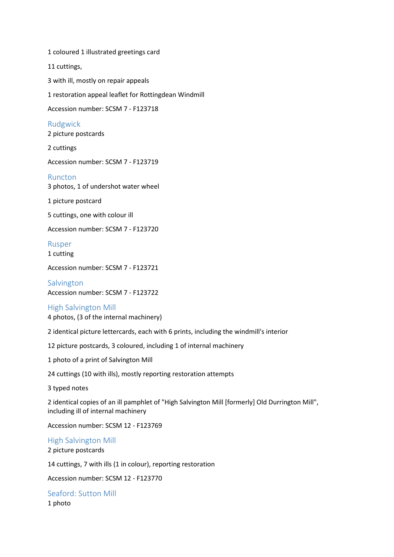1 coloured 1 illustrated greetings card 11 cuttings, 3 with ill, mostly on repair appeals 1 restoration appeal leaflet for Rottingdean Windmill Accession number: SCSM 7 - F123718 Rudgwick 2 picture postcards 2 cuttings Accession number: SCSM 7 - F123719 Runcton 3 photos, 1 of undershot water wheel 1 picture postcard 5 cuttings, one with colour ill Accession number: SCSM 7 - F123720 Rusper

1 cutting

Accession number: SCSM 7 - F123721

Salvington Accession number: SCSM 7 - F123722

#### High Salvington Mill

4 photos, (3 of the internal machinery)

2 identical picture lettercards, each with 6 prints, including the windmill's interior

12 picture postcards, 3 coloured, including 1 of internal machinery

1 photo of a print of Salvington Mill

24 cuttings (10 with ills), mostly reporting restoration attempts

3 typed notes

2 identical copies of an ill pamphlet of "High Salvington Mill [formerly] Old Durrington Mill", including ill of internal machinery

Accession number: SCSM 12 - F123769

High Salvington Mill 2 picture postcards

14 cuttings, 7 with ills (1 in colour), reporting restoration

Accession number: SCSM 12 - F123770

Seaford: Sutton Mill 1 photo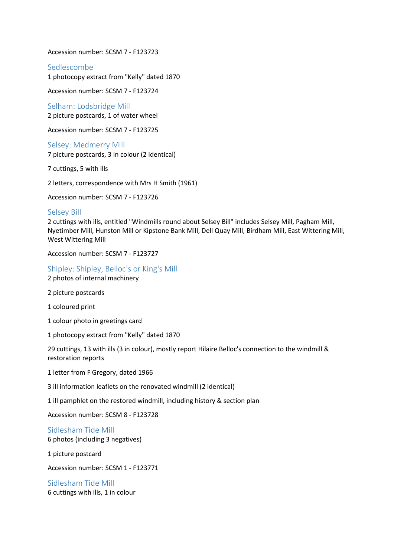Accession number: SCSM 7 - F123723

Sedlescombe

1 photocopy extract from "Kelly" dated 1870

Accession number: SCSM 7 - F123724

Selham: Lodsbridge Mill 2 picture postcards, 1 of water wheel

Accession number: SCSM 7 - F123725

Selsey: Medmerry Mill 7 picture postcards, 3 in colour (2 identical)

7 cuttings, 5 with ills

2 letters, correspondence with Mrs H Smith (1961)

Accession number: SCSM 7 - F123726

#### Selsey Bill

2 cuttings with ills, entitled "Windmills round about Selsey Bill" includes Selsey Mill, Pagham Mill, Nyetimber Mill, Hunston Mill or Kipstone Bank Mill, Dell Quay Mill, Birdham Mill, East Wittering Mill, West Wittering Mill

Accession number: SCSM 7 - F123727

Shipley: Shipley, Belloc's or King's Mill

2 photos of internal machinery

2 picture postcards

1 coloured print

1 colour photo in greetings card

1 photocopy extract from "Kelly" dated 1870

29 cuttings, 13 with ills (3 in colour), mostly report Hilaire Belloc's connection to the windmill & restoration reports

1 letter from F Gregory, dated 1966

3 ill information leaflets on the renovated windmill (2 identical)

1 ill pamphlet on the restored windmill, including history & section plan

Accession number: SCSM 8 - F123728

Sidlesham Tide Mill

6 photos (including 3 negatives)

1 picture postcard

Accession number: SCSM 1 - F123771

Sidlesham Tide Mill 6 cuttings with ills, 1 in colour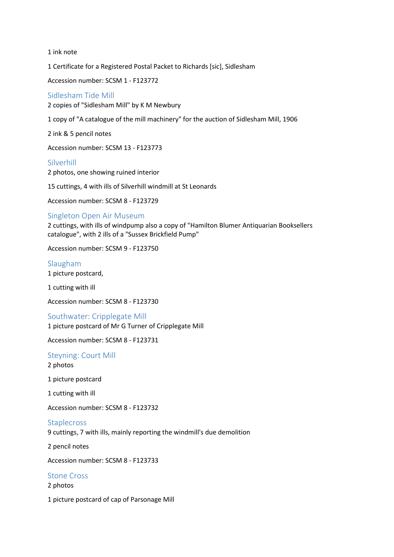1 ink note

1 Certificate for a Registered Postal Packet to Richards [sic], Sidlesham

Accession number: SCSM 1 - F123772

## Sidlesham Tide Mill

2 copies of "Sidlesham Mill" by K M Newbury

1 copy of "A catalogue of the mill machinery" for the auction of Sidlesham Mill, 1906

2 ink & 5 pencil notes

Accession number: SCSM 13 - F123773

#### Silverhill

2 photos, one showing ruined interior

15 cuttings, 4 with ills of Silverhill windmill at St Leonards

Accession number: SCSM 8 - F123729

## Singleton Open Air Museum

2 cuttings, with ills of windpump also a copy of "Hamilton Blumer Antiquarian Booksellers catalogue", with 2 ills of a "Sussex Brickfield Pump"

Accession number: SCSM 9 - F123750

# Slaugham

1 picture postcard,

1 cutting with ill

Accession number: SCSM 8 - F123730

## Southwater: Cripplegate Mill

1 picture postcard of Mr G Turner of Cripplegate Mill

Accession number: SCSM 8 - F123731

#### Steyning: Court Mill

2 photos

1 picture postcard

1 cutting with ill

Accession number: SCSM 8 - F123732

#### **Staplecross**

9 cuttings, 7 with ills, mainly reporting the windmill's due demolition

2 pencil notes

Accession number: SCSM 8 - F123733

## Stone Cross

2 photos

1 picture postcard of cap of Parsonage Mill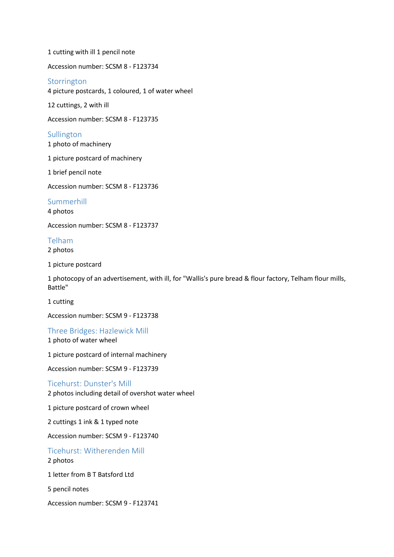1 cutting with ill 1 pencil note

Accession number: SCSM 8 - F123734

#### Storrington

4 picture postcards, 1 coloured, 1 of water wheel

12 cuttings, 2 with ill

Accession number: SCSM 8 - F123735

## **Sullington**

1 photo of machinery

1 picture postcard of machinery

1 brief pencil note

Accession number: SCSM 8 - F123736

Summerhill

4 photos

Accession number: SCSM 8 - F123737

## Telham

2 photos

1 picture postcard

1 photocopy of an advertisement, with ill, for "Wallis's pure bread & flour factory, Telham flour mills, Battle"

1 cutting

Accession number: SCSM 9 - F123738

Three Bridges: Hazlewick Mill

1 photo of water wheel

1 picture postcard of internal machinery

Accession number: SCSM 9 - F123739

#### Ticehurst: Dunster's Mill

2 photos including detail of overshot water wheel

1 picture postcard of crown wheel

2 cuttings 1 ink & 1 typed note

Accession number: SCSM 9 - F123740

## Ticehurst: Witherenden Mill 2 photos

1 letter from B T Batsford Ltd

5 pencil notes

Accession number: SCSM 9 - F123741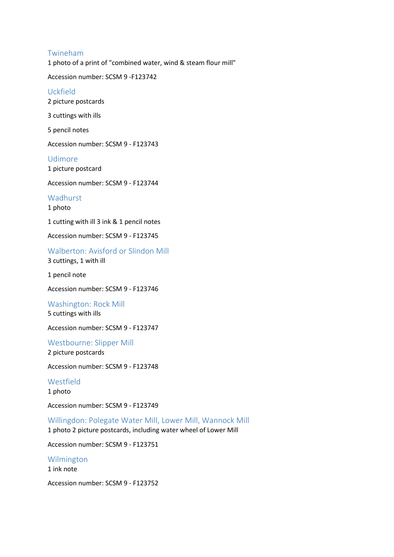#### Twineham

1 photo of a print of "combined water, wind & steam flour mill"

Accession number: SCSM 9 -F123742

## Uckfield

2 picture postcards

3 cuttings with ills

5 pencil notes

Accession number: SCSM 9 - F123743

Udimore 1 picture postcard

Accession number: SCSM 9 - F123744

Wadhurst

1 photo

1 cutting with ill 3 ink & 1 pencil notes

Accession number: SCSM 9 - F123745

Walberton: Avisford or Slindon Mill 3 cuttings, 1 with ill

1 pencil note

Accession number: SCSM 9 - F123746

#### Washington: Rock Mill

5 cuttings with ills

Accession number: SCSM 9 - F123747

Westbourne: Slipper Mill 2 picture postcards

Accession number: SCSM 9 - F123748

Westfield

1 photo

Accession number: SCSM 9 - F123749

Willingdon: Polegate Water Mill, Lower Mill, Wannock Mill 1 photo 2 picture postcards, including water wheel of Lower Mill

Accession number: SCSM 9 - F123751

Wilmington 1 ink note

Accession number: SCSM 9 - F123752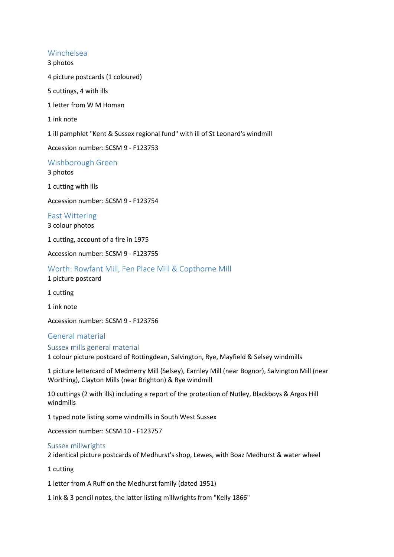## Winchelsea

3 photos

4 picture postcards (1 coloured)

5 cuttings, 4 with ills

1 letter from W M Homan

1 ink note

1 ill pamphlet "Kent & Sussex regional fund" with ill of St Leonard's windmill

Accession number: SCSM 9 - F123753

Wishborough Green

3 photos

1 cutting with ills

Accession number: SCSM 9 - F123754

East Wittering 3 colour photos

1 cutting, account of a fire in 1975

Accession number: SCSM 9 - F123755

Worth: Rowfant Mill, Fen Place Mill & Copthorne Mill

1 picture postcard

1 cutting

1 ink note

Accession number: SCSM 9 - F123756

## General material

Sussex mills general material

1 colour picture postcard of Rottingdean, Salvington, Rye, Mayfield & Selsey windmills

1 picture lettercard of Medmerry Mill (Selsey), Earnley Mill (near Bognor), Salvington Mill (near Worthing), Clayton Mills (near Brighton) & Rye windmill

10 cuttings (2 with ills) including a report of the protection of Nutley, Blackboys & Argos Hill windmills

1 typed note listing some windmills in South West Sussex

Accession number: SCSM 10 - F123757

#### Sussex millwrights

2 identical picture postcards of Medhurst's shop, Lewes, with Boaz Medhurst & water wheel

1 cutting

1 letter from A Ruff on the Medhurst family (dated 1951)

1 ink & 3 pencil notes, the latter listing millwrights from "Kelly 1866"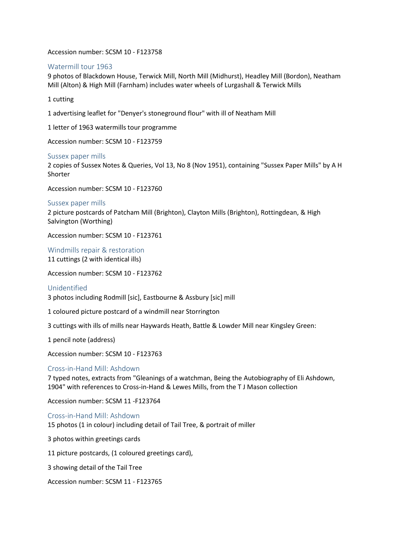Accession number: SCSM 10 - F123758

#### Watermill tour 1963

9 photos of Blackdown House, Terwick Mill, North Mill (Midhurst), Headley Mill (Bordon), Neatham Mill (Alton) & High Mill (Farnham) includes water wheels of Lurgashall & Terwick Mills

1 cutting

1 advertising leaflet for "Denyer's stoneground flour" with ill of Neatham Mill

1 letter of 1963 watermills tour programme

Accession number: SCSM 10 - F123759

#### Sussex paper mills

2 copies of Sussex Notes & Queries, Vol 13, No 8 (Nov 1951), containing "Sussex Paper Mills" by A H Shorter

Accession number: SCSM 10 - F123760

#### Sussex paper mills

2 picture postcards of Patcham Mill (Brighton), Clayton Mills (Brighton), Rottingdean, & High Salvington (Worthing)

Accession number: SCSM 10 - F123761

Windmills repair & restoration 11 cuttings (2 with identical ills)

Accession number: SCSM 10 - F123762

#### Unidentified

3 photos including Rodmill [sic], Eastbourne & Assbury [sic] mill

1 coloured picture postcard of a windmill near Storrington

3 cuttings with ills of mills near Haywards Heath, Battle & Lowder Mill near Kingsley Green:

1 pencil note (address)

Accession number: SCSM 10 - F123763

#### Cross-in-Hand Mill: Ashdown

7 typed notes, extracts from "Gleanings of a watchman, Being the Autobiography of Eli Ashdown, 1904" with references to Cross-in-Hand & Lewes Mills, from the T J Mason collection

Accession number: SCSM 11 -F123764

Cross-in-Hand Mill: Ashdown 15 photos (1 in colour) including detail of Tail Tree, & portrait of miller

3 photos within greetings cards

11 picture postcards, (1 coloured greetings card),

3 showing detail of the Tail Tree

Accession number: SCSM 11 - F123765